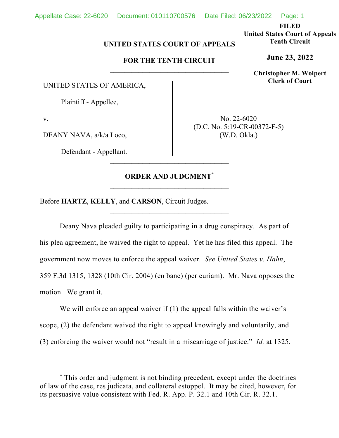**FILED** 

**United States Court of Appeals Tenth Circuit** 

**June 23, 2022**

**Christopher M. Wolpert Clerk of Court**

## **UNITED STATES COURT OF APPEALS**

## **FOR THE TENTH CIRCUIT**

UNITED STATES OF AMERICA,

Plaintiff - Appellee,

v.

DEANY NAVA, a/k/a Loco,

Defendant - Appellant.

No. 22-6020 (D.C. No. 5:19-CR-00372-F-5) (W.D. Okla.)

## **ORDER AND JUDGMENT\***

\_\_\_\_\_\_\_\_\_\_\_\_\_\_\_\_\_\_\_\_\_\_\_\_\_\_\_\_\_\_\_\_\_

Before **HARTZ**, **KELLY**, and **CARSON**, Circuit Judges.

Deany Nava pleaded guilty to participating in a drug conspiracy. As part of his plea agreement, he waived the right to appeal. Yet he has filed this appeal. The government now moves to enforce the appeal waiver. *See United States v. Hahn*, 359 F.3d 1315, 1328 (10th Cir. 2004) (en banc) (per curiam). Mr. Nava opposes the motion. We grant it.

We will enforce an appeal waiver if (1) the appeal falls within the waiver's scope, (2) the defendant waived the right to appeal knowingly and voluntarily, and (3) enforcing the waiver would not "result in a miscarriage of justice." *Id.* at 1325.

<sup>\*</sup> This order and judgment is not binding precedent, except under the doctrines of law of the case, res judicata, and collateral estoppel. It may be cited, however, for its persuasive value consistent with Fed. R. App. P. 32.1 and 10th Cir. R. 32.1.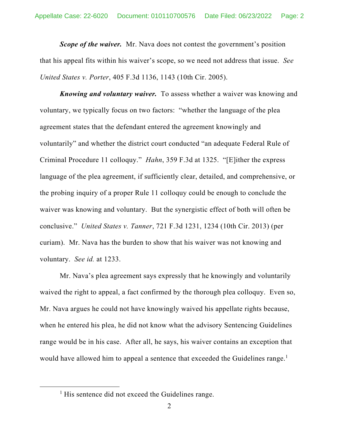*Scope of the waiver.* Mr. Nava does not contest the government's position that his appeal fits within his waiver's scope, so we need not address that issue. *See United States v. Porter*, 405 F.3d 1136, 1143 (10th Cir. 2005).

*Knowing and voluntary waiver.*To assess whether a waiver was knowing and voluntary, we typically focus on two factors: "whether the language of the plea agreement states that the defendant entered the agreement knowingly and voluntarily" and whether the district court conducted "an adequate Federal Rule of Criminal Procedure 11 colloquy." *Hahn*, 359 F.3d at 1325. "[E]ither the express language of the plea agreement, if sufficiently clear, detailed, and comprehensive, or the probing inquiry of a proper Rule 11 colloquy could be enough to conclude the waiver was knowing and voluntary. But the synergistic effect of both will often be conclusive." *United States v. Tanner*, 721 F.3d 1231, 1234 (10th Cir. 2013) (per curiam). Mr. Nava has the burden to show that his waiver was not knowing and voluntary. *See id.* at 1233.

Mr. Nava's plea agreement says expressly that he knowingly and voluntarily waived the right to appeal, a fact confirmed by the thorough plea colloquy. Even so, Mr. Nava argues he could not have knowingly waived his appellate rights because, when he entered his plea, he did not know what the advisory Sentencing Guidelines range would be in his case. After all, he says, his waiver contains an exception that would have allowed him to appeal a sentence that exceeded the Guidelines range.<sup>1</sup>

<sup>&</sup>lt;sup>1</sup> His sentence did not exceed the Guidelines range.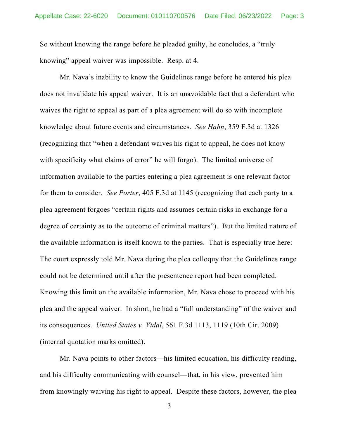So without knowing the range before he pleaded guilty, he concludes, a "truly knowing" appeal waiver was impossible. Resp. at 4.

Mr. Nava's inability to know the Guidelines range before he entered his plea does not invalidate his appeal waiver. It is an unavoidable fact that a defendant who waives the right to appeal as part of a plea agreement will do so with incomplete knowledge about future events and circumstances. *See Hahn*, 359 F.3d at 1326 (recognizing that "when a defendant waives his right to appeal, he does not know with specificity what claims of error" he will forgo). The limited universe of information available to the parties entering a plea agreement is one relevant factor for them to consider. *See Porter*, 405 F.3d at 1145 (recognizing that each party to a plea agreement forgoes "certain rights and assumes certain risks in exchange for a degree of certainty as to the outcome of criminal matters"). But the limited nature of the available information is itself known to the parties. That is especially true here: The court expressly told Mr. Nava during the plea colloquy that the Guidelines range could not be determined until after the presentence report had been completed. Knowing this limit on the available information, Mr. Nava chose to proceed with his plea and the appeal waiver. In short, he had a "full understanding" of the waiver and its consequences. *United States v. Vidal*, 561 F.3d 1113, 1119 (10th Cir. 2009) (internal quotation marks omitted).

Mr. Nava points to other factors—his limited education, his difficulty reading, and his difficulty communicating with counsel—that, in his view, prevented him from knowingly waiving his right to appeal. Despite these factors, however, the plea

3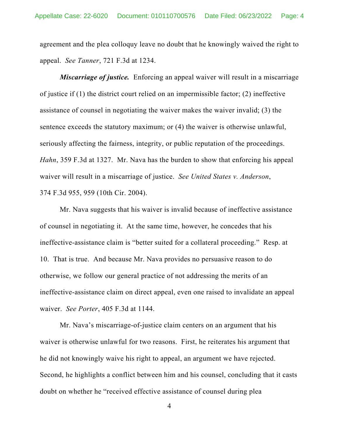agreement and the plea colloquy leave no doubt that he knowingly waived the right to appeal. *See Tanner*, 721 F.3d at 1234.

*Miscarriage of justice.* Enforcing an appeal waiver will result in a miscarriage of justice if (1) the district court relied on an impermissible factor; (2) ineffective assistance of counsel in negotiating the waiver makes the waiver invalid; (3) the sentence exceeds the statutory maximum; or (4) the waiver is otherwise unlawful, seriously affecting the fairness, integrity, or public reputation of the proceedings. *Hahn*, 359 F.3d at 1327. Mr. Nava has the burden to show that enforcing his appeal waiver will result in a miscarriage of justice. *See United States v. Anderson*, 374 F.3d 955, 959 (10th Cir. 2004).

Mr. Nava suggests that his waiver is invalid because of ineffective assistance of counsel in negotiating it. At the same time, however, he concedes that his ineffective-assistance claim is "better suited for a collateral proceeding." Resp. at 10. That is true. And because Mr. Nava provides no persuasive reason to do otherwise, we follow our general practice of not addressing the merits of an ineffective-assistance claim on direct appeal, even one raised to invalidate an appeal waiver. *See Porter*, 405 F.3d at 1144.

Mr. Nava's miscarriage-of-justice claim centers on an argument that his waiver is otherwise unlawful for two reasons. First, he reiterates his argument that he did not knowingly waive his right to appeal, an argument we have rejected. Second, he highlights a conflict between him and his counsel, concluding that it casts doubt on whether he "received effective assistance of counsel during plea

4